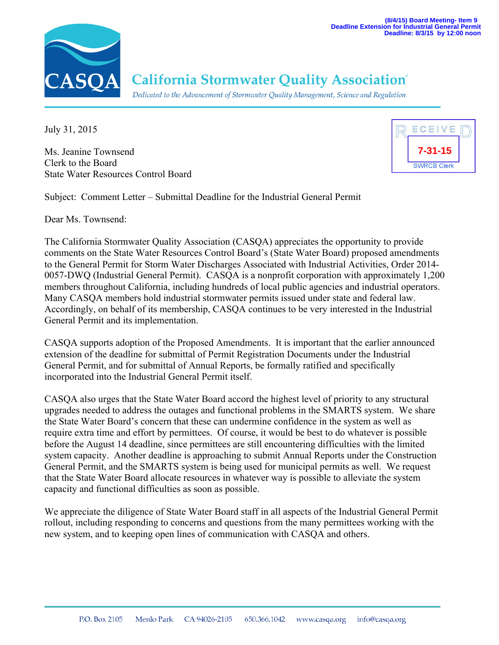

## **California Stormwater Quality Association**®

Dedicated to the Advancement of Stormwater Quality Management, Science and Regulation

July 31, 2015

Ms. Jeanine Townsend Clerk to the Board State Water Resources Control Board



Subject: Comment Letter – Submittal Deadline for the Industrial General Permit

Dear Ms. Townsend:

The California Stormwater Quality Association (CASQA) appreciates the opportunity to provide comments on the State Water Resources Control Board's (State Water Board) proposed amendments to the General Permit for Storm Water Discharges Associated with Industrial Activities, Order 2014- 0057-DWQ (Industrial General Permit). CASQA is a nonprofit corporation with approximately 1,200 members throughout California, including hundreds of local public agencies and industrial operators. Many CASQA members hold industrial stormwater permits issued under state and federal law. Accordingly, on behalf of its membership, CASQA continues to be very interested in the Industrial General Permit and its implementation.

CASQA supports adoption of the Proposed Amendments. It is important that the earlier announced extension of the deadline for submittal of Permit Registration Documents under the Industrial General Permit, and for submittal of Annual Reports, be formally ratified and specifically incorporated into the Industrial General Permit itself.

CASQA also urges that the State Water Board accord the highest level of priority to any structural upgrades needed to address the outages and functional problems in the SMARTS system. We share the State Water Board's concern that these can undermine confidence in the system as well as require extra time and effort by permittees. Of course, it would be best to do whatever is possible before the August 14 deadline, since permittees are still encountering difficulties with the limited system capacity. Another deadline is approaching to submit Annual Reports under the Construction General Permit, and the SMARTS system is being used for municipal permits as well. We request that the State Water Board allocate resources in whatever way is possible to alleviate the system capacity and functional difficulties as soon as possible.

We appreciate the diligence of State Water Board staff in all aspects of the Industrial General Permit rollout, including responding to concerns and questions from the many permittees working with the new system, and to keeping open lines of communication with CASQA and others.